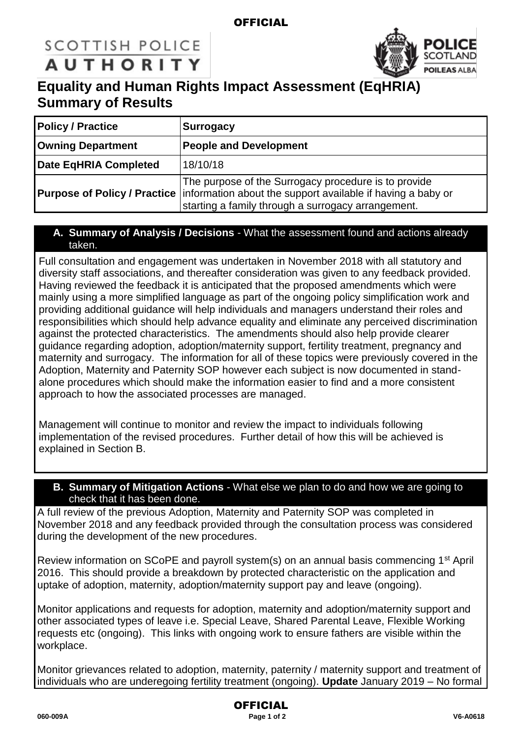### **OFFICIAL**

# **SCOTTISH POLICE AUTHORITY**



## **Equality and Human Rights Impact Assessment (EqHRIA) Summary of Results**

| <b>Policy / Practice</b> | <b>Surrogacy</b>                                                                                                                                                                                              |  |
|--------------------------|---------------------------------------------------------------------------------------------------------------------------------------------------------------------------------------------------------------|--|
| <b>Owning Department</b> | <b>People and Development</b>                                                                                                                                                                                 |  |
| Date EqHRIA Completed    | 18/10/18                                                                                                                                                                                                      |  |
|                          | The purpose of the Surrogacy procedure is to provide<br><b>Purpose of Policy / Practice</b> information about the support available if having a baby or<br>starting a family through a surrogacy arrangement. |  |

#### **A. Summary of Analysis / Decisions** - What the assessment found and actions already taken.

Full consultation and engagement was undertaken in November 2018 with all statutory and diversity staff associations, and thereafter consideration was given to any feedback provided. Having reviewed the feedback it is anticipated that the proposed amendments which were mainly using a more simplified language as part of the ongoing policy simplification work and providing additional guidance will help individuals and managers understand their roles and responsibilities which should help advance equality and eliminate any perceived discrimination against the protected characteristics. The amendments should also help provide clearer guidance regarding adoption, adoption/maternity support, fertility treatment, pregnancy and maternity and surrogacy. The information for all of these topics were previously covered in the Adoption, Maternity and Paternity SOP however each subject is now documented in standalone procedures which should make the information easier to find and a more consistent approach to how the associated processes are managed.

Management will continue to monitor and review the impact to individuals following implementation of the revised procedures. Further detail of how this will be achieved is explained in Section B.

#### **B. Summary of Mitigation Actions** - What else we plan to do and how we are going to check that it has been done.

A full review of the previous Adoption, Maternity and Paternity SOP was completed in November 2018 and any feedback provided through the consultation process was considered during the development of the new procedures.

Review information on SCoPE and payroll system(s) on an annual basis commencing 1<sup>st</sup> April 2016. This should provide a breakdown by protected characteristic on the application and uptake of adoption, maternity, adoption/maternity support pay and leave (ongoing).

Monitor applications and requests for adoption, maternity and adoption/maternity support and other associated types of leave i.e. Special Leave, Shared Parental Leave, Flexible Working requests etc (ongoing). This links with ongoing work to ensure fathers are visible within the workplace.

Monitor grievances related to adoption, maternity, paternity / maternity support and treatment of individuals who are underegoing fertility treatment (ongoing). **Update** January 2019 – No formal